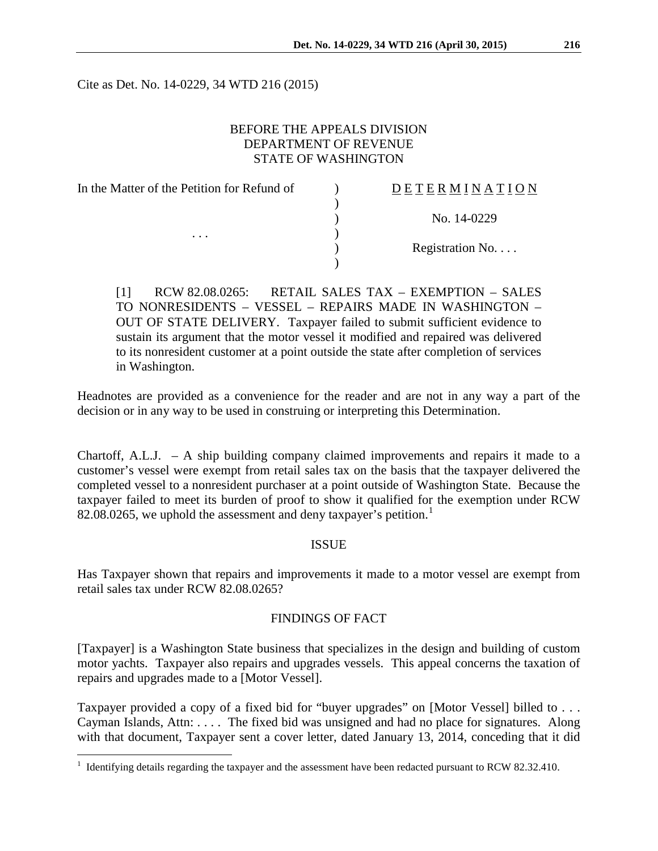Cite as Det. No. 14-0229, 34 WTD 216 (2015)

## BEFORE THE APPEALS DIVISION DEPARTMENT OF REVENUE STATE OF WASHINGTON

| In the Matter of the Petition for Refund of<br>$\cdots$ | DETERMINATION   |
|---------------------------------------------------------|-----------------|
|                                                         |                 |
|                                                         | No. 14-0229     |
|                                                         |                 |
|                                                         | Registration No |
|                                                         |                 |

[1] RCW 82.08.0265: RETAIL SALES TAX – EXEMPTION – SALES TO NONRESIDENTS – VESSEL – REPAIRS MADE IN WASHINGTON – OUT OF STATE DELIVERY. Taxpayer failed to submit sufficient evidence to sustain its argument that the motor vessel it modified and repaired was delivered to its nonresident customer at a point outside the state after completion of services in Washington.

Headnotes are provided as a convenience for the reader and are not in any way a part of the decision or in any way to be used in construing or interpreting this Determination.

Chartoff, A.L.J.  $- A$  ship building company claimed improvements and repairs it made to a customer's vessel were exempt from retail sales tax on the basis that the taxpayer delivered the completed vessel to a nonresident purchaser at a point outside of Washington State. Because the taxpayer failed to meet its burden of proof to show it qualified for the exemption under RCW 82.08.0265, we uphold the assessment and deny taxpayer's petition.<sup>[1](#page-0-0)</sup>

## ISSUE

Has Taxpayer shown that repairs and improvements it made to a motor vessel are exempt from retail sales tax under RCW 82.08.0265?

## FINDINGS OF FACT

[Taxpayer] is a Washington State business that specializes in the design and building of custom motor yachts. Taxpayer also repairs and upgrades vessels. This appeal concerns the taxation of repairs and upgrades made to a [Motor Vessel].

Taxpayer provided a copy of a fixed bid for "buyer upgrades" on [Motor Vessel] billed to . . . Cayman Islands, Attn: . . . . The fixed bid was unsigned and had no place for signatures. Along with that document, Taxpayer sent a cover letter, dated January 13, 2014, conceding that it did

 $\overline{a}$ 

<span id="page-0-0"></span> $1$  Identifying details regarding the taxpayer and the assessment have been redacted pursuant to RCW 82.32.410.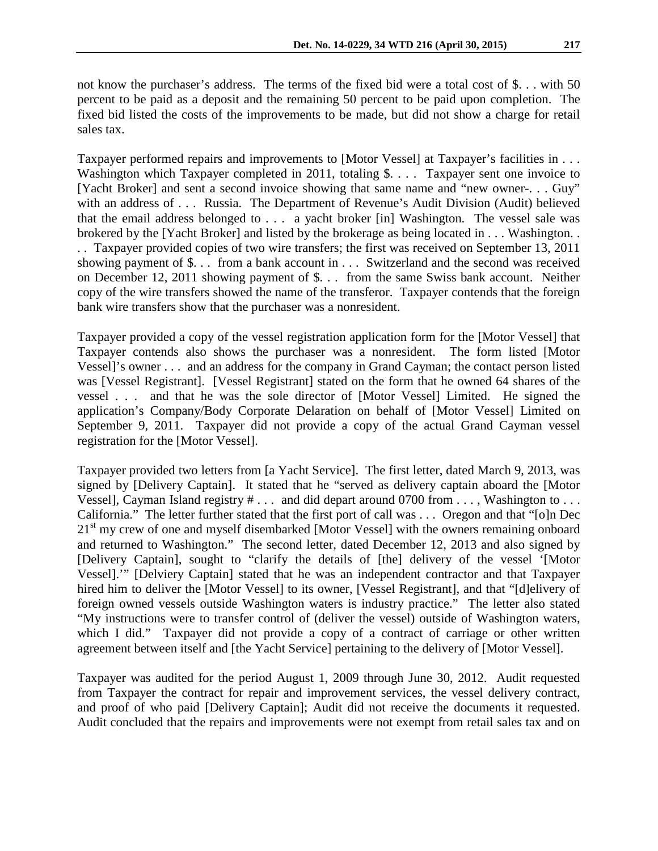not know the purchaser's address. The terms of the fixed bid were a total cost of \$. . . with 50 percent to be paid as a deposit and the remaining 50 percent to be paid upon completion. The fixed bid listed the costs of the improvements to be made, but did not show a charge for retail sales tax.

Taxpayer performed repairs and improvements to [Motor Vessel] at Taxpayer's facilities in . . . Washington which Taxpayer completed in 2011, totaling \$. . . . Taxpayer sent one invoice to [Yacht Broker] and sent a second invoice showing that same name and "new owner-. . . Guy" with an address of . . . Russia. The Department of Revenue's Audit Division (Audit) believed that the email address belonged to . . . a yacht broker [in] Washington. The vessel sale was brokered by the [Yacht Broker] and listed by the brokerage as being located in . . . Washington. . . . Taxpayer provided copies of two wire transfers; the first was received on September 13, 2011 showing payment of \$. . . from a bank account in . . . Switzerland and the second was received on December 12, 2011 showing payment of \$. . . from the same Swiss bank account. Neither copy of the wire transfers showed the name of the transferor. Taxpayer contends that the foreign bank wire transfers show that the purchaser was a nonresident.

Taxpayer provided a copy of the vessel registration application form for the [Motor Vessel] that Taxpayer contends also shows the purchaser was a nonresident. The form listed [Motor Vessel]'s owner . . . and an address for the company in Grand Cayman; the contact person listed was [Vessel Registrant]. [Vessel Registrant] stated on the form that he owned 64 shares of the vessel . . . and that he was the sole director of [Motor Vessel] Limited. He signed the application's Company/Body Corporate Delaration on behalf of [Motor Vessel] Limited on September 9, 2011. Taxpayer did not provide a copy of the actual Grand Cayman vessel registration for the [Motor Vessel].

Taxpayer provided two letters from [a Yacht Service]. The first letter, dated March 9, 2013, was signed by [Delivery Captain]. It stated that he "served as delivery captain aboard the [Motor Vessel], Cayman Island registry  $\# \dots$  and did depart around 0700 from  $\dots$ , Washington to  $\dots$ California." The letter further stated that the first port of call was . . . Oregon and that "[o]n Dec 21<sup>st</sup> my crew of one and myself disembarked [Motor Vessel] with the owners remaining onboard and returned to Washington." The second letter, dated December 12, 2013 and also signed by [Delivery Captain], sought to "clarify the details of [the] delivery of the vessel '[Motor Vessel].'" [Delviery Captain] stated that he was an independent contractor and that Taxpayer hired him to deliver the [Motor Vessel] to its owner, [Vessel Registrant], and that "[d]elivery of foreign owned vessels outside Washington waters is industry practice." The letter also stated "My instructions were to transfer control of (deliver the vessel) outside of Washington waters, which I did." Taxpayer did not provide a copy of a contract of carriage or other written agreement between itself and [the Yacht Service] pertaining to the delivery of [Motor Vessel].

Taxpayer was audited for the period August 1, 2009 through June 30, 2012. Audit requested from Taxpayer the contract for repair and improvement services, the vessel delivery contract, and proof of who paid [Delivery Captain]; Audit did not receive the documents it requested. Audit concluded that the repairs and improvements were not exempt from retail sales tax and on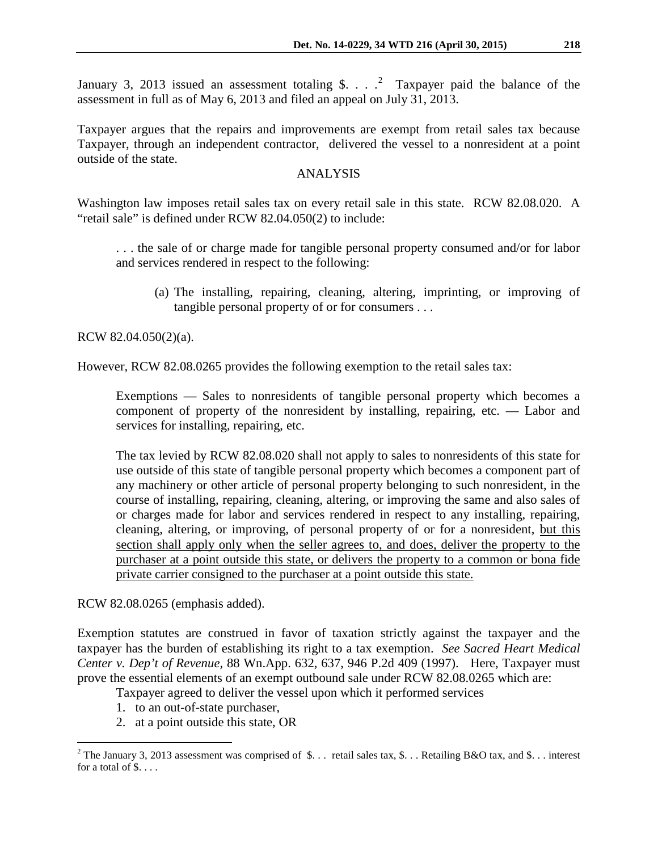January 3, [2](#page-2-0)013 issued an assessment totaling \$.  $\ldots$   $\frac{2}{3}$  Taxpayer paid the balance of the assessment in full as of May 6, 2013 and filed an appeal on July 31, 2013.

Taxpayer argues that the repairs and improvements are exempt from retail sales tax because Taxpayer, through an independent contractor, delivered the vessel to a nonresident at a point outside of the state.

# ANALYSIS

Washington law imposes retail sales tax on every retail sale in this state. RCW 82.08.020. A "retail sale" is defined under RCW 82.04.050(2) to include:

. . . the sale of or charge made for tangible personal property consumed and/or for labor and services rendered in respect to the following:

(a) The installing, repairing, cleaning, altering, imprinting, or improving of tangible personal property of or for consumers . . .

RCW 82.04.050(2)(a).

However, RCW 82.08.0265 provides the following exemption to the retail sales tax:

Exemptions — Sales to nonresidents of tangible personal property which becomes a component of property of the nonresident by installing, repairing, etc. — Labor and services for installing, repairing, etc.

The tax levied by RCW 82.08.020 shall not apply to sales to nonresidents of this state for use outside of this state of tangible personal property which becomes a component part of any machinery or other article of personal property belonging to such nonresident, in the course of installing, repairing, cleaning, altering, or improving the same and also sales of or charges made for labor and services rendered in respect to any installing, repairing, cleaning, altering, or improving, of personal property of or for a nonresident, but this section shall apply only when the seller agrees to, and does, deliver the property to the purchaser at a point outside this state, or delivers the property to a common or bona fide private carrier consigned to the purchaser at a point outside this state.

RCW 82.08.0265 (emphasis added).

 $\overline{a}$ 

Exemption statutes are construed in favor of taxation strictly against the taxpayer and the taxpayer has the burden of establishing its right to a tax exemption. *See [Sacred Heart Medical](https://web2.westlaw.com/find/default.wl?mt=108&db=661&tc=-1&rp=%2ffind%2fdefault.wl&findtype=Y&ordoc=2000377054&serialnum=1997222412&vr=2.0&fn=_top&sv=Split&tf=-1&pbc=611E5AC8&rs=WLW14.04)  Center v. Dep't of Revenue,* [88 Wn.App. 632, 637, 946 P.2d 409 \(1997\).](https://web2.westlaw.com/find/default.wl?mt=108&db=661&tc=-1&rp=%2ffind%2fdefault.wl&findtype=Y&ordoc=2000377054&serialnum=1997222412&vr=2.0&fn=_top&sv=Split&tf=-1&pbc=611E5AC8&rs=WLW14.04) Here, Taxpayer must prove the essential elements of an exempt outbound sale under RCW 82.08.0265 which are:

Taxpayer agreed to deliver the vessel upon which it performed services

- 1. to an out-of-state purchaser,
- 2. at a point outside this state, OR

<span id="page-2-0"></span><sup>&</sup>lt;sup>2</sup> The January 3, 2013 assessment was comprised of \$... retail sales tax, \$... Retailing B&O tax, and \$... interest for a total of  $\$\ldots$ .